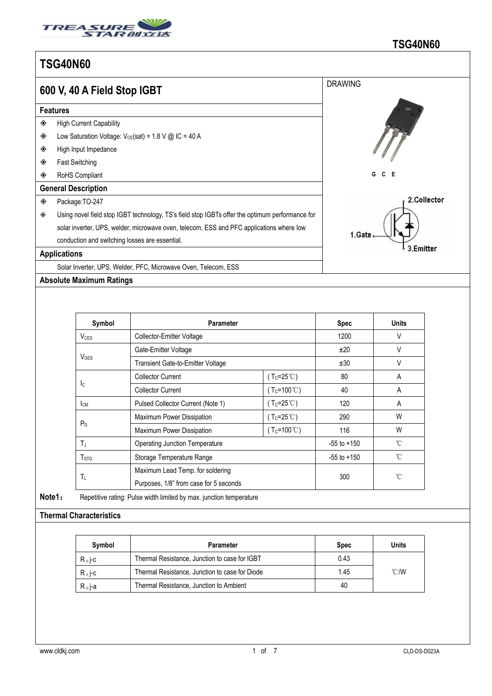

|   | 600 V, 40 A Field Stop IGBT                                                                     | <b>DRAWING</b> |
|---|-------------------------------------------------------------------------------------------------|----------------|
|   | <b>Features</b>                                                                                 |                |
| ◈ | <b>High Current Capability</b>                                                                  |                |
| ◈ | Low Saturation Voltage: $V_{CE}(sat) = 1.8$ V @ IC = 40 A                                       |                |
| ◈ | High Input Impedance                                                                            |                |
| ◈ | <b>Fast Switching</b>                                                                           |                |
| ◈ | RoHS Compliant                                                                                  | G<br>Е<br>C.   |
|   | <b>General Description</b>                                                                      |                |
| ◈ | Package: TO-247                                                                                 | 2.Collector    |
| ◈ | Using novel field stop IGBT technology, TS's field stop IGBTs offer the optimum performance for |                |
|   | solar inverter, UPS, welder, microwave oven, telecom, ESS and PFC applications where low        |                |
|   | conduction and switching losses are essential.                                                  | 1.Gate         |
|   | <b>Applications</b>                                                                             | 3.Emitter      |
|   | Solar Inverter, UPS, Welder, PFC, Microwave Oven, Telecom, ESS                                  |                |

**Absolute Maximum Ratings**

| Symbol                                                | <b>Parameter</b>                      |                          | Spec            | Units        |
|-------------------------------------------------------|---------------------------------------|--------------------------|-----------------|--------------|
| $V_{CES}$<br>Collector-Emitter Voltage                |                                       |                          | 1200            | V            |
| $V_{\text{GES}}$                                      | Gate-Emitter Voltage                  |                          | ±20             | V            |
|                                                       | Transient Gate-to-Emitter Voltage     |                          | ±30             | V            |
| <b>I</b> c                                            | <b>Collector Current</b>              | ( $T_c = 25^{\circ}$ C)  | 80              | A            |
|                                                       | <b>Collector Current</b>              | ( $T_c = 100^{\circ}$ C) | 40              | Α            |
| Iсм                                                   | Pulsed Collector Current (Note 1)     | $(T_c=25^{\circ}C)$      | 120             | A            |
| $P_D$                                                 | Maximum Power Dissipation             | $(Tc=25^{\circ}C)$       | 290             | W            |
|                                                       | Maximum Power Dissipation             | ( $T_c = 100^{\circ}$ C) | 116             | W            |
| $T_J$                                                 | <b>Operating Junction Temperature</b> |                          | $-55$ to $+150$ | $^{\circ}$ C |
| T <sub>STG</sub>                                      | Storage Temperature Range             |                          | $-55$ to $+150$ | $^{\circ}$ C |
|                                                       | Maximum Lead Temp. for soldering      |                          |                 |              |
| $T_{\rm L}$<br>Purposes, 1/8" from case for 5 seconds |                                       | 300                      | $^{\circ}$ C    |              |

## **Thermal Characteristics**

| Symbol           | Parameter                                      | <b>Spec</b> | <b>Units</b>   |
|------------------|------------------------------------------------|-------------|----------------|
| $R_{\theta}$ j-c | Thermal Resistance, Junction to case for IGBT  | 0.43        |                |
| $R_{\theta}$ j-c | Thermal Resistance, Junction to case for Diode | 1.45        | $^{\circ}$ C/W |
| $R_{\theta}$ j-a | Thermal Resistance, Junction to Ambient        | 40          |                |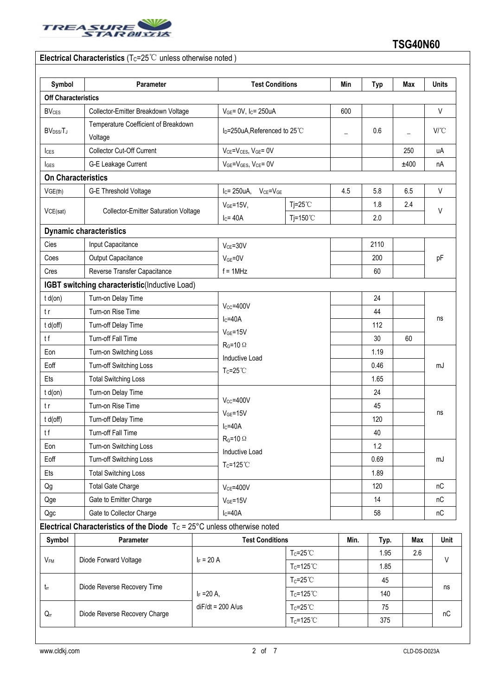

| Symbol                            | Parameter                                                                           |                           | <b>Test Conditions</b>                    |      | <b>Typ</b> | Max               | <b>Units</b>                 |
|-----------------------------------|-------------------------------------------------------------------------------------|---------------------------|-------------------------------------------|------|------------|-------------------|------------------------------|
| <b>Off Characteristics</b>        |                                                                                     |                           |                                           |      |            |                   |                              |
| <b>BV<sub>CES</sub></b>           | Collector-Emitter Breakdown Voltage                                                 |                           | $V_{GE}$ = 0V, I <sub>C</sub> = 250uA     |      |            |                   | $\vee$                       |
| BV <sub>DSS/</sub> T <sub>J</sub> | Temperature Coefficient of Breakdown<br>Voltage                                     |                           | I <sub>D</sub> =250uA, Referenced to 25°C |      | 0.6        | $\qquad \qquad -$ | $V^{\circ}C$                 |
| $I_{CES}$                         | Collector Cut-Off Current                                                           |                           | $V_{CE} = V_{CES}$ , $V_{GE} = 0V$        |      |            | 250               | uA                           |
| $I_{\text{GES}}$                  | G-E Leakage Current                                                                 | VGE=VGES, VCE= 0V         |                                           |      |            | ±400              | nA                           |
|                                   | <b>On Characteristics</b>                                                           |                           |                                           |      |            |                   |                              |
| VGE(th)                           | G-E Threshold Voltage                                                               | $IC = 250uA,$             | $V_{CE} = V_{GE}$                         | 4.5  | 5.8        | 6.5               | $\vee$                       |
| VCE(sat)                          | <b>Collector-Emitter Saturation Voltage</b>                                         | $VGE=15V,$<br>$I_C = 40A$ | $Tj = 25^{\circ}$ C<br>Tj=150 $°C$        |      | 1.8<br>2.0 | 2.4               | V                            |
|                                   | <b>Dynamic characteristics</b>                                                      |                           |                                           |      |            |                   |                              |
| Cies                              | Input Capacitance                                                                   | $V_{CE} = 30V$            |                                           |      | 2110       |                   |                              |
| Coes                              | Output Capacitance                                                                  |                           | $V_{GE} = 0V$<br>$f = 1$ MHz              |      |            |                   | pF                           |
| Cres                              | Reverse Transfer Capacitance                                                        |                           |                                           |      |            |                   |                              |
|                                   | IGBT switching characteristic(Inductive Load)                                       |                           |                                           |      | 60         |                   |                              |
| $t d($ on $)$                     | Turn-on Delay Time                                                                  |                           |                                           |      | 24         |                   | ns                           |
| t r                               | Turn-on Rise Time                                                                   | $V_{CC} = 400V$           |                                           |      | 44         |                   |                              |
| t d(off)                          | Turn-off Delay Time                                                                 | $IC=40A$                  |                                           |      | 112        |                   |                              |
| tf                                | Turn-off Fall Time                                                                  | $VGE=15V$                 |                                           |      | 30         | 60                |                              |
| Eon                               | Turn-on Switching Loss                                                              | $R_G = 10 \Omega$         |                                           |      | 1.19       |                   |                              |
| Eoff                              | Turn-off Switching Loss                                                             |                           | <b>Inductive Load</b>                     |      | 0.46       |                   | mJ                           |
| Ets                               | <b>Total Switching Loss</b>                                                         | $T_c = 25^{\circ}$ C      |                                           |      | 1.65       |                   |                              |
| $t d($ on $)$                     | Turn-on Delay Time                                                                  |                           |                                           |      | 24         |                   |                              |
| tr                                | Turn-on Rise Time                                                                   | $V_{CC} = 400V$           |                                           |      | 45         |                   |                              |
| t d(off)                          | Turn-off Delay Time                                                                 | $VGE=15V$                 |                                           |      | 120        |                   | ns                           |
| tf                                | Turn-off Fall Time                                                                  | $IC=40A$                  |                                           |      | 40         |                   |                              |
| Eon                               | Turn-on Switching Loss                                                              | $R_G = 10 \Omega$         |                                           |      | 1.2        |                   |                              |
|                                   | Eoff<br>Turn-off Switching Loss<br><b>Total Switching Loss</b>                      |                           | Inductive Load<br>$T_c = 125^{\circ}$ C   |      | 0.69       |                   | mJ                           |
| Ets                               |                                                                                     |                           |                                           |      | 1.89       |                   |                              |
| Qg                                | <b>Total Gate Charge</b>                                                            | <b>VCE=400V</b>           |                                           |      | 120        |                   | nC                           |
| Qge                               | Gate to Emitter Charge                                                              | $V_{GE} = 15V$            |                                           |      | 14         |                   | nC                           |
| Gate to Collector Charge<br>Qgc   |                                                                                     | $lc = 40A$                |                                           |      | 58         |                   | $\mathsf{n}\mathsf{C}$       |
|                                   | Electrical Characteristics of the Diode $T_c = 25^{\circ}$ C unless otherwise noted |                           |                                           |      |            |                   |                              |
| Symbol                            | Parameter                                                                           |                           | <b>Test Conditions</b>                    | Min. | Typ.       | Max               | Unit                         |
|                                   |                                                                                     |                           | $Tc = 25^{\circ}$ C                       |      | 1.95       | 2.6               | V                            |
| $V_{\mathsf{FM}}$                 | Diode Forward Voltage                                                               | $I_F = 20 A$              | $T_c = 125^{\circ}$ C                     |      | 1.85       |                   |                              |
|                                   |                                                                                     |                           | $T_c = 25^{\circ}$ C                      |      | 45         |                   | ns<br>$\mathsf{n}\mathsf{C}$ |
| $t_{rr}$                          | Diode Reverse Recovery Time                                                         | $I_F = 20 A$ ,            | Tc=125°C                                  |      | 140        |                   |                              |
|                                   |                                                                                     | $diF/dt = 200$ A/us       | $T_c = 25^{\circ}$ C                      |      | 75         |                   |                              |
| $\mathsf{Q}_\pi$                  | Diode Reverse Recovery Charge                                                       |                           | $T_c = 125^{\circ}$ C                     |      | 375        |                   |                              |
|                                   |                                                                                     |                           |                                           |      |            |                   |                              |

I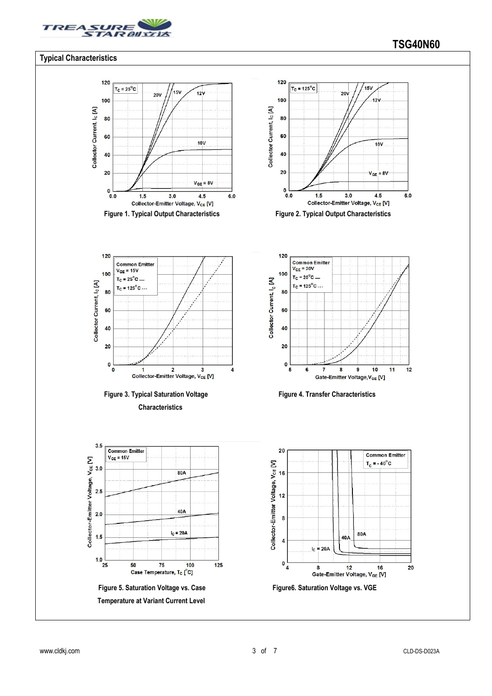

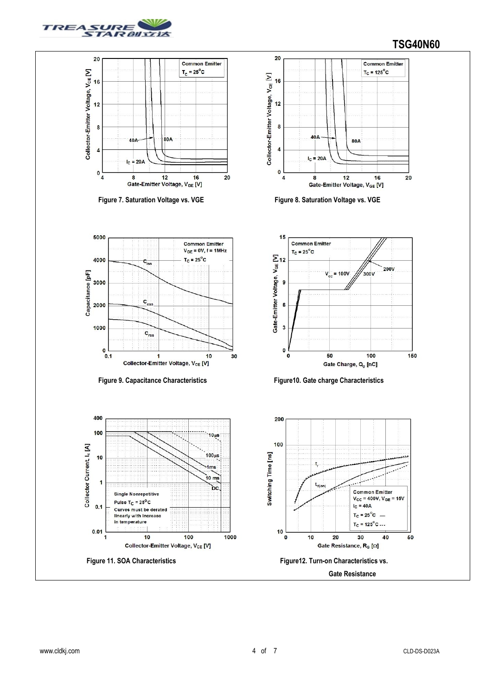

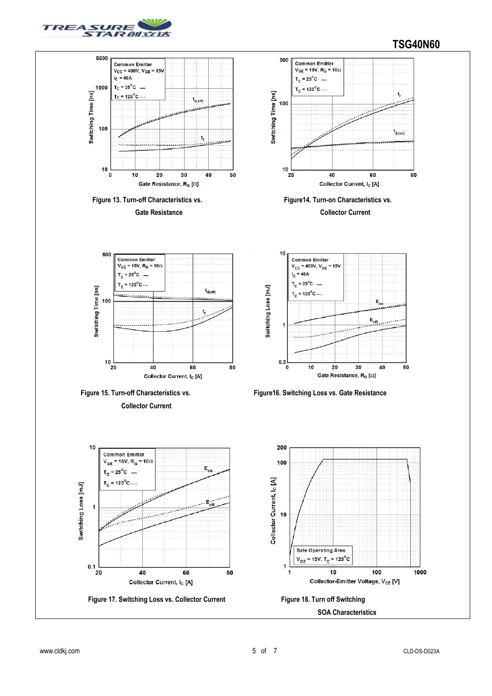

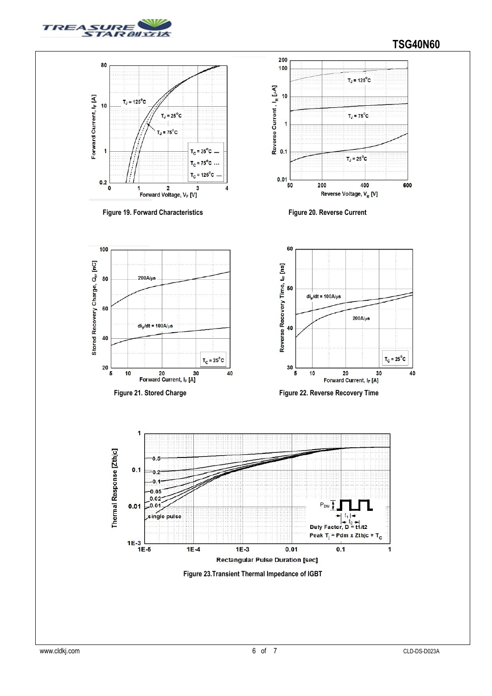